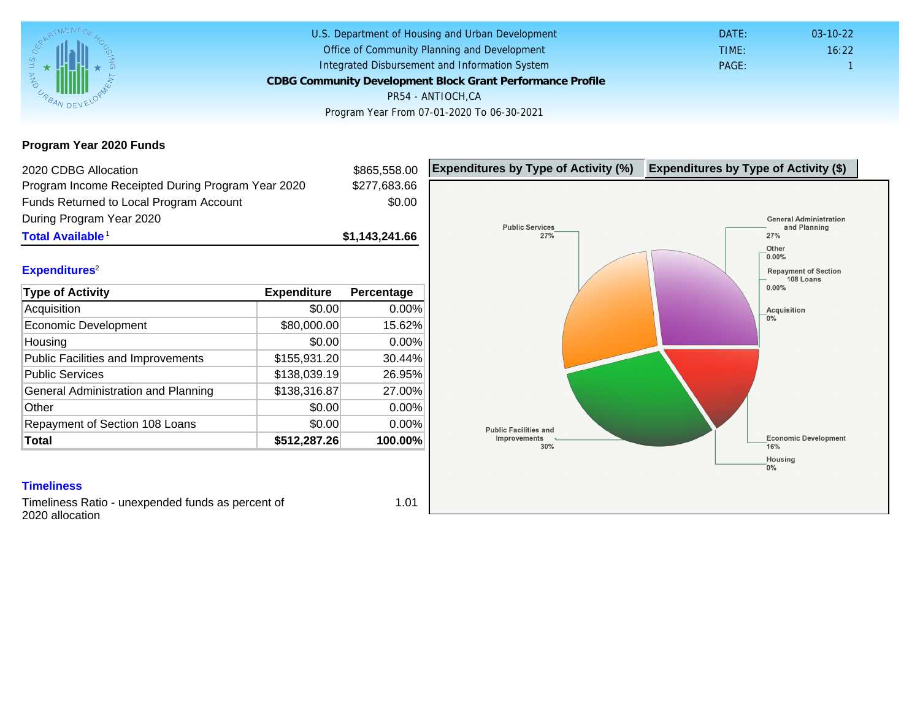Program Year 2020 Funds

| 2020 CDBG Allocation                              |              | \$865,558.00   | Expenditures by Type of Activity (%) | Expenditure |
|---------------------------------------------------|--------------|----------------|--------------------------------------|-------------|
| Program Income Receipted During Program Year 2020 |              | \$277,683.66   |                                      |             |
| Funds Returned to Local Program Account           |              | \$0.00         |                                      |             |
| During Program Year 2020                          |              |                |                                      |             |
| Total Available <sup>1</sup>                      |              | \$1,143,241.66 |                                      |             |
|                                                   |              |                |                                      |             |
| Expenditures <sup>2</sup>                         |              |                |                                      |             |
| Type of Activity                                  | Expenditure  | Percentage     |                                      |             |
| Acquisition                                       | \$0.00       | $0.00\%$       |                                      |             |
| Economic Development                              | \$80,000.00  | 15.62%         |                                      |             |
| Housing                                           | \$0.00       | 0.00%          |                                      |             |
| <b>Public Facilities and Improvements</b>         | \$155,931.20 | 30.44%         |                                      |             |
| <b>Public Services</b>                            | \$138,039.19 | 26.95%         |                                      |             |
| General Administration and Planning               | \$138,316.87 | 27.00%         |                                      |             |
| Other                                             | \$0.00       | 0.00%          |                                      |             |
| Repayment of Section 108 Loans                    | \$0.00       | 0.00%          |                                      |             |
| Total                                             | \$512,287.26 | 100.00%        |                                      |             |
|                                                   |              |                |                                      |             |

## **Timeliness**

Timeliness Ratio - unexpended funds as percent of 2020 allocation

1.01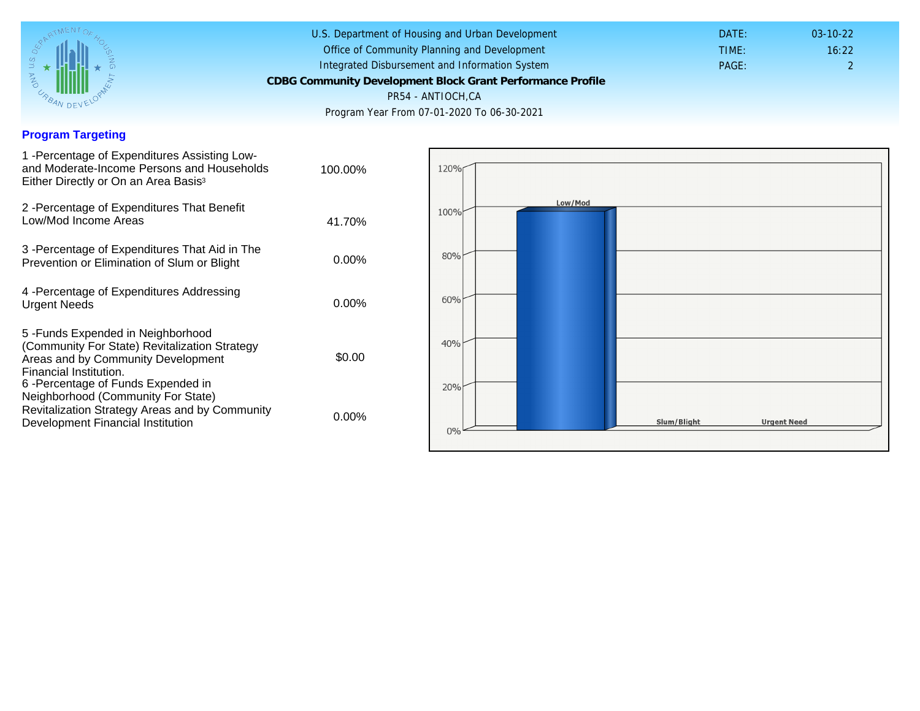## Program Targeting

| 1 - Percentage of Expenditures Assisting Low-<br>and Moderate-Income Persons and Households<br>Either Directly or On an Area Basis <sup>3</sup>                                                                              | 100.00%  |
|------------------------------------------------------------------------------------------------------------------------------------------------------------------------------------------------------------------------------|----------|
| 2 - Percentage of Expenditures That Benefit<br>Low/Mod Income Areas                                                                                                                                                          | 41.70%   |
| 3 - Percentage of Expenditures That Aid in The<br>Prevention or Elimination of Slum or Blight                                                                                                                                | $0.00\%$ |
| 4 - Percentage of Expenditures Addressing<br><b>Urgent Needs</b>                                                                                                                                                             | $0.00\%$ |
| 5-Funds Expended in Neighborhood<br>(Community For State) Revitalization Strategy<br>Areas and by Community Development<br>Financial Institution.<br>6-Percentage of Funds Expended in<br>Neighborhood (Community For State) | \$0.00   |
| Revitalization Strategy Areas and by Community<br>Development Financial Institution                                                                                                                                          | $0.00\%$ |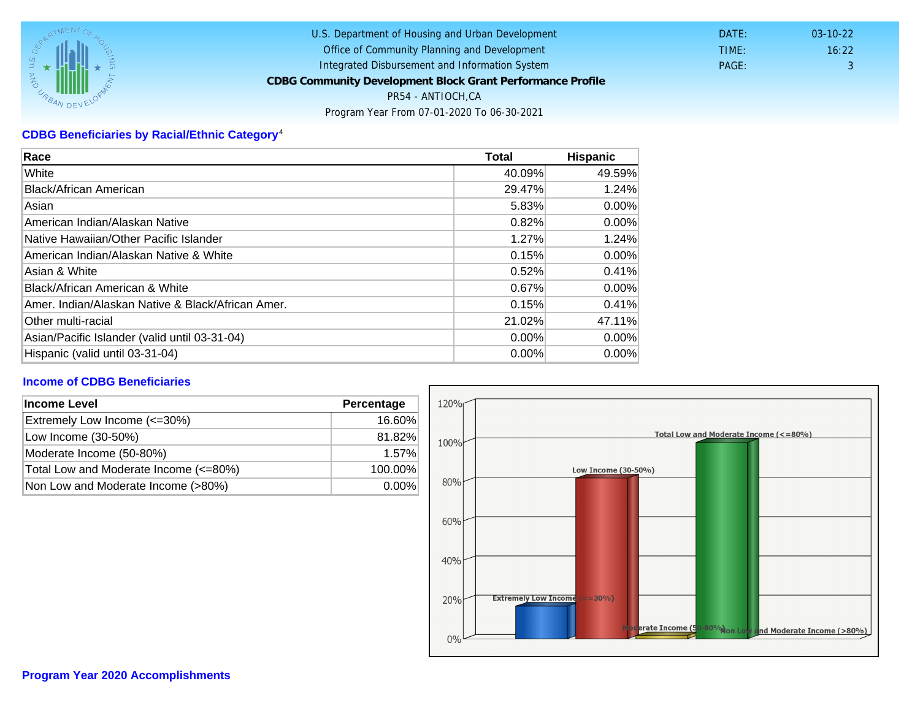# CDBG Beneficiaries by Racial/Ethnic Category <sup>4</sup>

| Race                                              | Total    | Hispanic |
|---------------------------------------------------|----------|----------|
| White                                             | 40.09%   | 49.59%   |
| Black/African American                            | 29.47%   | 1.24%    |
| Asian                                             | 5.83%    | $0.00\%$ |
| IAmerican Indian/Alaskan Native                   | 0.82%    | $0.00\%$ |
| lNative Hawaiian/Other Pacific Islander           | 1.27%    | 1.24%    |
| American Indian/Alaskan Native & White            | 0.15%    | $0.00\%$ |
| Asian & White                                     | 0.52%    | 0.41%    |
| Black/African American & White                    | 0.67%    | $0.00\%$ |
| Amer. Indian/Alaskan Native & Black/African Amer. | 0.15%    | 0.41%    |
| <b>Other multi-racial</b>                         | 21.02%   | 47.11%   |
| Asian/Pacific Islander (valid until 03-31-04)     | 0.00%    | $0.00\%$ |
| Hispanic (valid until 03-31-04)                   | $0.00\%$ | $0.00\%$ |

## Income of CDBG Beneficiaries

| Income Level                          | Percentage |
|---------------------------------------|------------|
| Extremely Low Income (<=30%)          | 16.60%     |
| Low Income (30-50%)                   | 81.82%     |
| Moderate Income (50-80%)              | 1.57%      |
| Total Low and Moderate Income (<=80%) | 100.00%    |
| Non Low and Moderate Income (>80%)    | $0.00\%$   |